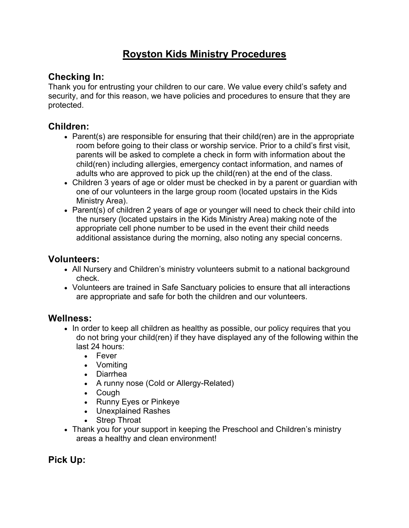# **Royston Kids Ministry Procedures**

### **Checking In:**

Thank you for entrusting your children to our care. We value every child's safety and security, and for this reason, we have policies and procedures to ensure that they are protected.

#### **Children:**

- Parent(s) are responsible for ensuring that their child(ren) are in the appropriate room before going to their class or worship service. Prior to a child's first visit, parents will be asked to complete a check in form with information about the child(ren) including allergies, emergency contact information, and names of adults who are approved to pick up the child(ren) at the end of the class.
- Children 3 years of age or older must be checked in by a parent or guardian with one of our volunteers in the large group room (located upstairs in the Kids Ministry Area).
- Parent(s) of children 2 years of age or younger will need to check their child into the nursery (located upstairs in the Kids Ministry Area) making note of the appropriate cell phone number to be used in the event their child needs additional assistance during the morning, also noting any special concerns.

#### **Volunteers:**

- All Nursery and Children's ministry volunteers submit to a national background check.
- Volunteers are trained in Safe Sanctuary policies to ensure that all interactions are appropriate and safe for both the children and our volunteers.

#### **Wellness:**

- In order to keep all children as healthy as possible, our policy requires that you do not bring your child(ren) if they have displayed any of the following within the last 24 hours:
	- Fever
	- Vomiting
	- Diarrhea
	- A runny nose (Cold or Allergy-Related)
	- Cough
	- Runny Eyes or Pinkeye
	- Unexplained Rashes
	- Strep Throat
- Thank you for your support in keeping the Preschool and Children's ministry areas a healthy and clean environment!

## **Pick Up:**